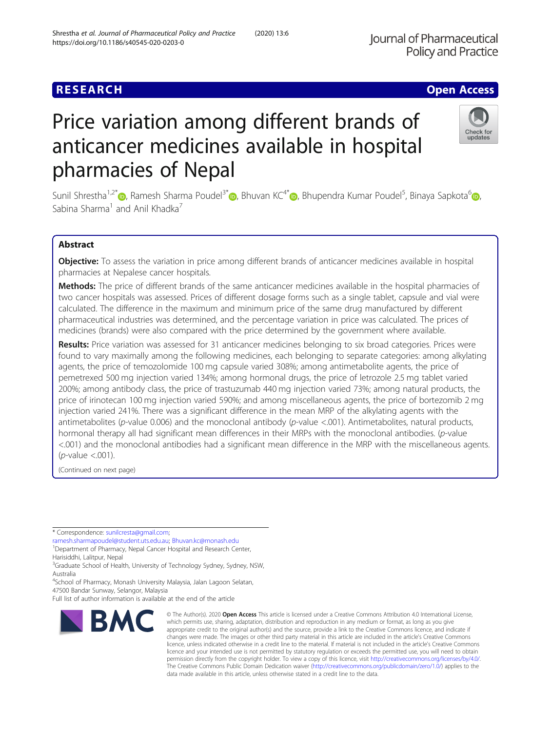## **RESEARCH CHE Open Access**

# Price variation among different brands of anticancer medicines available in hospital pharmacies of Nepal

Sunil Shrestha<sup>1,2[\\*](https://orcid.org/0000-0002-1617-7885)</sup> [,](https://orcid.org/0000-0002-4125-9866) Ramesh Sharma Poudel<sup>3\*</sup> , Bhuvan KC<sup>4\*</sup> , Bhupendra Kumar Poudel<sup>5</sup>, Binaya Sapkota<sup>6</sup> , Sabina Sharma<sup>1</sup> and Anil Khadka<sup>7</sup>

## Abstract

Objective: To assess the variation in price among different brands of anticancer medicines available in hospital pharmacies at Nepalese cancer hospitals.

Methods: The price of different brands of the same anticancer medicines available in the hospital pharmacies of two cancer hospitals was assessed. Prices of different dosage forms such as a single tablet, capsule and vial were calculated. The difference in the maximum and minimum price of the same drug manufactured by different pharmaceutical industries was determined, and the percentage variation in price was calculated. The prices of medicines (brands) were also compared with the price determined by the government where available.

Results: Price variation was assessed for 31 anticancer medicines belonging to six broad categories. Prices were found to vary maximally among the following medicines, each belonging to separate categories: among alkylating agents, the price of temozolomide 100 mg capsule varied 308%; among antimetabolite agents, the price of pemetrexed 500 mg injection varied 134%; among hormonal drugs, the price of letrozole 2.5 mg tablet varied 200%; among antibody class, the price of trastuzumab 440 mg injection varied 73%; among natural products, the price of irinotecan 100 mg injection varied 590%; and among miscellaneous agents, the price of bortezomib 2 mg injection varied 241%. There was a significant difference in the mean MRP of the alkylating agents with the antimetabolites (p-value 0.006) and the monoclonal antibody (p-value <.001). Antimetabolites, natural products, hormonal therapy all had significant mean differences in their MRPs with the monoclonal antibodies. (p-value <.001) and the monoclonal antibodies had a significant mean difference in the MRP with the miscellaneous agents.  $(p$ -value  $< .001$ ).

(Continued on next page)

\* Correspondence: [sunilcresta@gmail.com](mailto:sunilcresta@gmail.com);

[ramesh.sharmapoudel@student.uts.edu.au](mailto:ramesh.sharmapoudel@student.uts.edu.au); [Bhuvan.kc@monash.edu](mailto:Bhuvan.kc@monash.edu) <sup>1</sup>

<sup>1</sup>Department of Pharmacy, Nepal Cancer Hospital and Research Center, Harisiddhi, Lalitpur, Nepal

<sup>3</sup>Graduate School of Health, University of Technology Sydney, Sydney, NSW, Australia

4 School of Pharmacy, Monash University Malaysia, Jalan Lagoon Selatan,

47500 Bandar Sunway, Selangor, Malaysia

**BMC** 

Full list of author information is available at the end of the article

appropriate credit to the original author(s) and the source, provide a link to the Creative Commons licence, and indicate if changes were made. The images or other third party material in this article are included in the article's Creative Commons licence, unless indicated otherwise in a credit line to the material. If material is not included in the article's Creative Commons licence and your intended use is not permitted by statutory regulation or exceeds the permitted use, you will need to obtain permission directly from the copyright holder. To view a copy of this licence, visit [http://creativecommons.org/licenses/by/4.0/.](http://creativecommons.org/licenses/by/4.0/) The Creative Commons Public Domain Dedication waiver [\(http://creativecommons.org/publicdomain/zero/1.0/](http://creativecommons.org/publicdomain/zero/1.0/)) applies to the data made available in this article, unless otherwise stated in a credit line to the data.

© The Author(s), 2020 **Open Access** This article is licensed under a Creative Commons Attribution 4.0 International License, which permits use, sharing, adaptation, distribution and reproduction in any medium or format, as long as you give



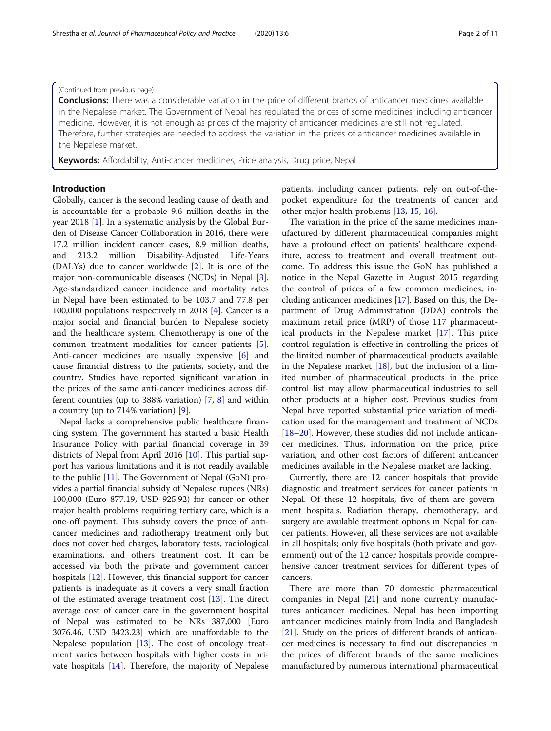## (Continued from previous page)

**Conclusions:** There was a considerable variation in the price of different brands of anticancer medicines available in the Nepalese market. The Government of Nepal has regulated the prices of some medicines, including anticancer medicine. However, it is not enough as prices of the majority of anticancer medicines are still not regulated. Therefore, further strategies are needed to address the variation in the prices of anticancer medicines available in the Nepalese market.

Keywords: Affordability, Anti-cancer medicines, Price analysis, Drug price, Nepal

## Introduction

Globally, cancer is the second leading cause of death and is accountable for a probable 9.6 million deaths in the year 2018 [\[1](#page-9-0)]. In a systematic analysis by the Global Burden of Disease Cancer Collaboration in 2016, there were 17.2 million incident cancer cases, 8.9 million deaths, and 213.2 million Disability-Adjusted Life-Years (DALYs) due to cancer worldwide [[2\]](#page-9-0). It is one of the major non-communicable diseases (NCDs) in Nepal [\[3](#page-9-0)]. Age-standardized cancer incidence and mortality rates in Nepal have been estimated to be 103.7 and 77.8 per 100,000 populations respectively in 2018 [[4\]](#page-9-0). Cancer is a major social and financial burden to Nepalese society and the healthcare system. Chemotherapy is one of the common treatment modalities for cancer patients [\[5](#page-9-0)]. Anti-cancer medicines are usually expensive [\[6](#page-9-0)] and cause financial distress to the patients, society, and the country. Studies have reported significant variation in the prices of the same anti-cancer medicines across different countries (up to 388% variation) [\[7](#page-9-0), [8\]](#page-9-0) and within a country (up to 714% variation) [[9\]](#page-9-0).

Nepal lacks a comprehensive public healthcare financing system. The government has started a basic Health Insurance Policy with partial financial coverage in 39 districts of Nepal from April 2016 [[10\]](#page-9-0). This partial support has various limitations and it is not readily available to the public [[11\]](#page-9-0). The Government of Nepal (GoN) provides a partial financial subsidy of Nepalese rupees (NRs) 100,000 (Euro 877.19, USD 925.92) for cancer or other major health problems requiring tertiary care, which is a one-off payment. This subsidy covers the price of anticancer medicines and radiotherapy treatment only but does not cover bed charges, laboratory tests, radiological examinations, and others treatment cost. It can be accessed via both the private and government cancer hospitals [[12\]](#page-9-0). However, this financial support for cancer patients is inadequate as it covers a very small fraction of the estimated average treatment cost [[13](#page-9-0)]. The direct average cost of cancer care in the government hospital of Nepal was estimated to be NRs 387,000 [Euro 3076.46, USD 3423.23] which are unaffordable to the Nepalese population [[13](#page-9-0)]. The cost of oncology treatment varies between hospitals with higher costs in private hospitals [[14](#page-9-0)]. Therefore, the majority of Nepalese patients, including cancer patients, rely on out-of-thepocket expenditure for the treatments of cancer and other major health problems [\[13](#page-9-0), [15](#page-9-0), [16\]](#page-9-0).

The variation in the price of the same medicines manufactured by different pharmaceutical companies might have a profound effect on patients' healthcare expenditure, access to treatment and overall treatment outcome. To address this issue the GoN has published a notice in the Nepal Gazette in August 2015 regarding the control of prices of a few common medicines, including anticancer medicines [[17\]](#page-9-0). Based on this, the Department of Drug Administration (DDA) controls the maximum retail price (MRP) of those 117 pharmaceutical products in the Nepalese market [[17\]](#page-9-0). This price control regulation is effective in controlling the prices of the limited number of pharmaceutical products available in the Nepalese market  $[18]$  $[18]$ , but the inclusion of a limited number of pharmaceutical products in the price control list may allow pharmaceutical industries to sell other products at a higher cost. Previous studies from Nepal have reported substantial price variation of medication used for the management and treatment of NCDs [[18](#page-9-0)–[20](#page-9-0)]. However, these studies did not include anticancer medicines. Thus, information on the price, price variation, and other cost factors of different anticancer medicines available in the Nepalese market are lacking.

Currently, there are 12 cancer hospitals that provide diagnostic and treatment services for cancer patients in Nepal. Of these 12 hospitals, five of them are government hospitals. Radiation therapy, chemotherapy, and surgery are available treatment options in Nepal for cancer patients. However, all these services are not available in all hospitals; only five hospitals (both private and government) out of the 12 cancer hospitals provide comprehensive cancer treatment services for different types of cancers.

There are more than 70 domestic pharmaceutical companies in Nepal [[21\]](#page-9-0) and none currently manufactures anticancer medicines. Nepal has been importing anticancer medicines mainly from India and Bangladesh [[21\]](#page-9-0). Study on the prices of different brands of anticancer medicines is necessary to find out discrepancies in the prices of different brands of the same medicines manufactured by numerous international pharmaceutical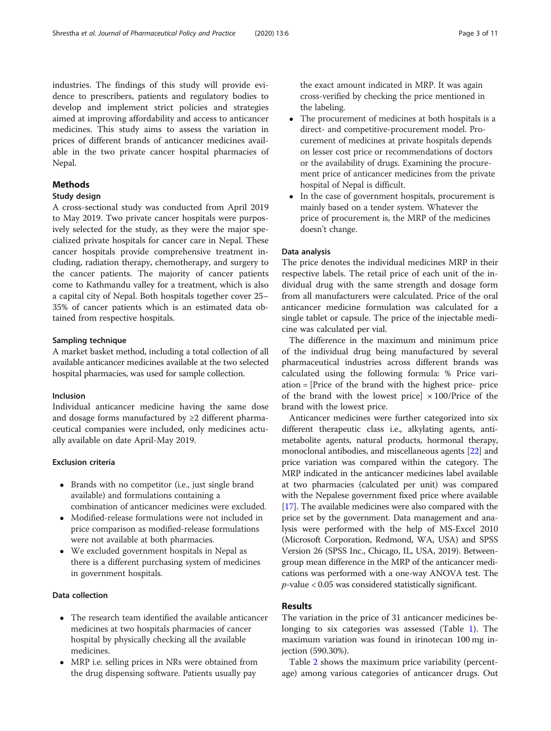industries. The findings of this study will provide evidence to prescribers, patients and regulatory bodies to develop and implement strict policies and strategies aimed at improving affordability and access to anticancer medicines. This study aims to assess the variation in prices of different brands of anticancer medicines available in the two private cancer hospital pharmacies of Nepal.

## Methods

## Study design

A cross-sectional study was conducted from April 2019 to May 2019. Two private cancer hospitals were purposively selected for the study, as they were the major specialized private hospitals for cancer care in Nepal. These cancer hospitals provide comprehensive treatment including, radiation therapy, chemotherapy, and surgery to the cancer patients. The majority of cancer patients come to Kathmandu valley for a treatment, which is also a capital city of Nepal. Both hospitals together cover 25– 35% of cancer patients which is an estimated data obtained from respective hospitals.

## Sampling technique

A market basket method, including a total collection of all available anticancer medicines available at the two selected hospital pharmacies, was used for sample collection.

## Inclusion

Individual anticancer medicine having the same dose and dosage forms manufactured by ≥2 different pharmaceutical companies were included, only medicines actually available on date April-May 2019.

## Exclusion criteria

- Brands with no competitor (i.e., just single brand available) and formulations containing a combination of anticancer medicines were excluded.
- Modified-release formulations were not included in price comparison as modified-release formulations were not available at both pharmacies.
- We excluded government hospitals in Nepal as there is a different purchasing system of medicines in government hospitals.

## Data collection

- The research team identified the available anticancer medicines at two hospitals pharmacies of cancer hospital by physically checking all the available medicines.
- MRP i.e. selling prices in NRs were obtained from the drug dispensing software. Patients usually pay

the exact amount indicated in MRP. It was again cross-verified by checking the price mentioned in the labeling.

- The procurement of medicines at both hospitals is a direct- and competitive-procurement model. Procurement of medicines at private hospitals depends on lesser cost price or recommendations of doctors or the availability of drugs. Examining the procurement price of anticancer medicines from the private hospital of Nepal is difficult.
- In the case of government hospitals, procurement is mainly based on a tender system. Whatever the price of procurement is, the MRP of the medicines doesn't change.

## Data analysis

The price denotes the individual medicines MRP in their respective labels. The retail price of each unit of the individual drug with the same strength and dosage form from all manufacturers were calculated. Price of the oral anticancer medicine formulation was calculated for a single tablet or capsule. The price of the injectable medicine was calculated per vial.

The difference in the maximum and minimum price of the individual drug being manufactured by several pharmaceutical industries across different brands was calculated using the following formula: % Price variation = [Price of the brand with the highest price- price of the brand with the lowest price]  $\times$  100/Price of the brand with the lowest price.

Anticancer medicines were further categorized into six different therapeutic class i.e., alkylating agents, antimetabolite agents, natural products, hormonal therapy, monoclonal antibodies, and miscellaneous agents [\[22\]](#page-9-0) and price variation was compared within the category. The MRP indicated in the anticancer medicines label available at two pharmacies (calculated per unit) was compared with the Nepalese government fixed price where available [[17](#page-9-0)]. The available medicines were also compared with the price set by the government. Data management and analysis were performed with the help of MS-Excel 2010 (Microsoft Corporation, Redmond, WA, USA) and SPSS Version 26 (SPSS Inc., Chicago, IL, USA, 2019). Betweengroup mean difference in the MRP of the anticancer medications was performed with a one-way ANOVA test. The  $p$ -value < 0.05 was considered statistically significant.

## Results

The variation in the price of 31 anticancer medicines belonging to six categories was assessed (Table [1\)](#page-3-0). The maximum variation was found in irinotecan 100 mg injection (590.30%).

Table [2](#page-4-0) shows the maximum price variability (percentage) among various categories of anticancer drugs. Out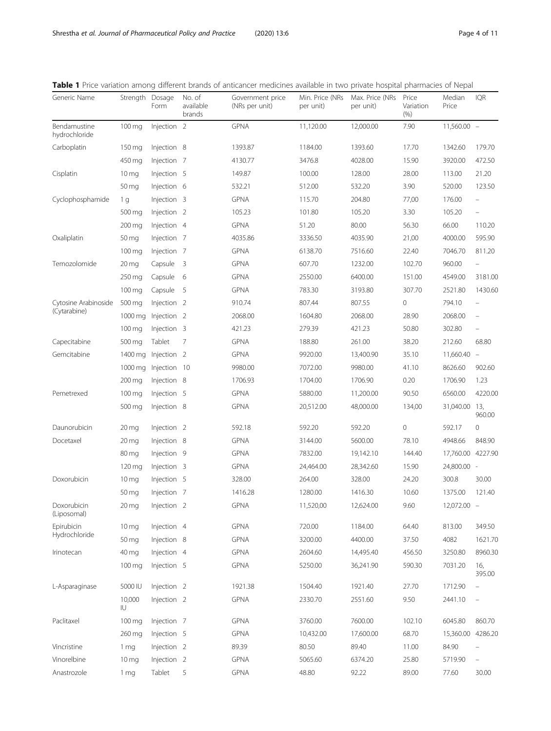| Generic Name                  | Strength            | Dosage<br>Form         | No. of<br>available<br>brands | Government price<br>(NRs per unit) | Min. Price (NRs<br>per unit) | Max. Price (NRs<br>per unit) | Price<br>Variation<br>$(\% )$ | Median<br>Price   | <b>IQR</b>               |
|-------------------------------|---------------------|------------------------|-------------------------------|------------------------------------|------------------------------|------------------------------|-------------------------------|-------------------|--------------------------|
| Bendamustine<br>hydrochloride | 100 mg              | Injection 2            |                               | <b>GPNA</b>                        | 11,120.00                    | 12,000.00                    | 7.90                          | $11,560.00 -$     |                          |
| Carboplatin                   | $150 \,\mathrm{mg}$ | Injection 8            |                               | 1393.87                            | 1184.00                      | 1393.60                      | 17.70                         | 1342.60           | 179.70                   |
|                               | 450 mg              | Injection 7            |                               | 4130.77                            | 3476.8                       | 4028.00                      | 15.90                         | 3920.00           | 472.50                   |
| Cisplatin                     | 10 <sub>mg</sub>    | Injection 5            |                               | 149.87                             | 100.00                       | 128.00                       | 28.00                         | 113.00            | 21.20                    |
|                               | 50 mg               | Injection 6            |                               | 532.21                             | 512.00                       | 532.20                       | 3.90                          | 520.00            | 123.50                   |
| Cyclophosphamide              | 1 g                 | Injection 3            |                               | <b>GPNA</b>                        | 115.70                       | 204.80                       | 77,00                         | 176.00            | $\qquad \qquad -$        |
|                               | 500 mg              | Injection <sub>2</sub> |                               | 105.23                             | 101.80                       | 105.20                       | 3.30                          | 105.20            | $\overline{\phantom{0}}$ |
|                               | $200 \,\mathrm{mg}$ | Injection 4            |                               | <b>GPNA</b>                        | 51.20                        | 80.00                        | 56.30                         | 66.00             | 110.20                   |
| Oxaliplatin                   | 50 mg               | Injection 7            |                               | 4035.86                            | 3336.50                      | 4035.90                      | 21,00                         | 4000.00           | 595.90                   |
|                               | $100 \,\mathrm{mg}$ | Injection 7            |                               | <b>GPNA</b>                        | 6138.70                      | 7516.60                      | 22.40                         | 7046.70           | 811.20                   |
| Temozolomide                  | $20 \,\mathrm{mg}$  | Capsule                | - 3                           | <b>GPNA</b>                        | 607.70                       | 1232.00                      | 102.70                        | 960.00            | ÷                        |
|                               | 250 mg              | Capsule                | 6                             | <b>GPNA</b>                        | 2550.00                      | 6400.00                      | 151.00                        | 4549.00           | 3181.00                  |
|                               | $100 \,\mathrm{mg}$ | Capsule                | -5                            | <b>GPNA</b>                        | 783.30                       | 3193.80                      | 307.70                        | 2521.80           | 1430.60                  |
| Cytosine Arabinoside          | 500 mg              | Injection <sub>2</sub> |                               | 910.74                             | 807.44                       | 807.55                       | 0                             | 794.10            | $\overline{\phantom{0}}$ |
| (Cytarabine)                  | 1000 mg             | Injection <sub>2</sub> |                               | 2068.00                            | 1604.80                      | 2068.00                      | 28.90                         | 2068.00           | $\overline{\phantom{m}}$ |
|                               | 100 mg              | Injection 3            |                               | 421.23                             | 279.39                       | 421.23                       | 50.80                         | 302.80            | $\overline{\phantom{0}}$ |
| Capecitabine                  | 500 mg              | Tablet                 | 7                             | <b>GPNA</b>                        | 188.80                       | 261.00                       | 38.20                         | 212.60            | 68.80                    |
| Gemcitabine                   | 1400 mg             | Injection <sub>2</sub> |                               | <b>GPNA</b>                        | 9920.00                      | 13,400.90                    | 35.10                         | $11,660.40 -$     |                          |
|                               | 1000 mg             | Injection 10           |                               | 9980.00                            | 7072.00                      | 9980.00                      | 41.10                         | 8626.60           | 902.60                   |
|                               | $200 \,\mathrm{mg}$ | Injection 8            |                               | 1706.93                            | 1704.00                      | 1706.90                      | 0.20                          | 1706.90           | 1.23                     |
| Pemetrexed                    | $100 \,\mathrm{mg}$ | Injection 5            |                               | <b>GPNA</b>                        | 5880.00                      | 11,200.00                    | 90.50                         | 6560.00           | 4220.00                  |
|                               | 500 mg              | Injection 8            |                               | <b>GPNA</b>                        | 20,512.00                    | 48,000.00                    | 134,00                        | 31,040.00         | 13,<br>960.00            |
| Daunorubicin                  | $20 \,\mathrm{mg}$  | Injection <sub>2</sub> |                               | 592.18                             | 592.20                       | 592.20                       | 0                             | 592.17            | 0                        |
| Docetaxel                     | $20 \,\mathrm{mg}$  | Injection 8            |                               | <b>GPNA</b>                        | 3144.00                      | 5600.00                      | 78.10                         | 4948.66           | 848.90                   |
|                               | 80 mg               | Injection 9            |                               | <b>GPNA</b>                        | 7832.00                      | 19,142.10                    | 144.40                        | 17,760.00 4227.90 |                          |
|                               | 120 mg              | Injection 3            |                               | <b>GPNA</b>                        | 24,464.00                    | 28,342.60                    | 15.90                         | 24,800.00 -       |                          |
| Doxorubicin                   | 10 <sub>mg</sub>    | Injection 5            |                               | 328.00                             | 264.00                       | 328.00                       | 24.20                         | 300.8             | 30.00                    |
|                               | 50 mg               | Injection 7            |                               | 1416.28                            | 1280.00                      | 1416.30                      | 10.60                         | 1375.00           | 121.40                   |
| Doxorubicin<br>(Liposomal)    | $20 \, mg$          | Injection <sub>2</sub> |                               | GPNA                               | 11,520,00                    | 12,624.00                    | $9.60\,$                      | 12,072.00         |                          |
| Epirubicin                    | 10 <sub>mg</sub>    | Injection 4            |                               | <b>GPNA</b>                        | 720.00                       | 1184.00                      | 64.40                         | 813.00            | 349.50                   |
| Hydrochloride                 | 50 mg               | Injection 8            |                               | <b>GPNA</b>                        | 3200.00                      | 4400.00                      | 37.50                         | 4082              | 1621.70                  |
| Irinotecan                    | 40 mg               | Injection 4            |                               | <b>GPNA</b>                        | 2604.60                      | 14,495.40                    | 456.50                        | 3250.80           | 8960.30                  |
|                               | 100 mg              | Injection 5            |                               | <b>GPNA</b>                        | 5250.00                      | 36,241.90                    | 590.30                        | 7031.20           | 16,<br>395.00            |
| L-Asparaginase                | 5000 IU             | Injection <sub>2</sub> |                               | 1921.38                            | 1504.40                      | 1921.40                      | 27.70                         | 1712.90           | $\qquad \qquad -$        |
|                               | 10,000<br>IU        | Injection 2            |                               | <b>GPNA</b>                        | 2330.70                      | 2551.60                      | 9.50                          | 2441.10           | $\qquad \qquad -$        |
| Paclitaxel                    | $100 \,\mathrm{mg}$ | Injection 7            |                               | <b>GPNA</b>                        | 3760.00                      | 7600.00                      | 102.10                        | 6045.80           | 860.70                   |
|                               | 260 mg              | Injection 5            |                               | <b>GPNA</b>                        | 10,432.00                    | 17,600.00                    | 68.70                         | 15,360.00         | 4286.20                  |
| Vincristine                   | 1 mg                | Injection <sub>2</sub> |                               | 89.39                              | 80.50                        | 89.40                        | 11.00                         | 84.90             |                          |
| Vinorelbine                   | 10 <sub>mg</sub>    | Injection <sub>2</sub> |                               | <b>GPNA</b>                        | 5065.60                      | 6374.20                      | 25.80                         | 5719.90           | ÷,                       |
| Anastrozole                   | 1 <sub>mg</sub>     | Tablet                 | 5                             | <b>GPNA</b>                        | 48.80                        | 92.22                        | 89.00                         | 77.60             | 30.00                    |

<span id="page-3-0"></span>

|  |  | Table 1 Price variation among different brands of anticancer medicines available in two private hospital pharmacies of Nepal |  |  |  |  |  |  |
|--|--|------------------------------------------------------------------------------------------------------------------------------|--|--|--|--|--|--|
|--|--|------------------------------------------------------------------------------------------------------------------------------|--|--|--|--|--|--|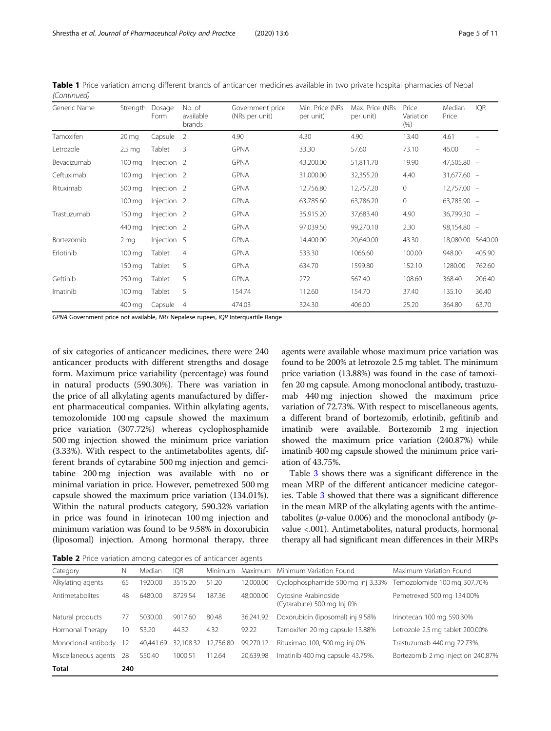| Generic Name | Strength            | Dosage<br>Form         | No. of<br>available<br>brands | Government price<br>(NRs per unit) | Min. Price (NRs<br>per unit) | Max. Price (NRs<br>per unit) | Price<br>Variation<br>(% ) | Median<br>Price | <b>IQR</b>               |
|--------------|---------------------|------------------------|-------------------------------|------------------------------------|------------------------------|------------------------------|----------------------------|-----------------|--------------------------|
| Tamoxifen    | $20 \,\mathrm{mg}$  | Capsule                | 2                             | 4.90                               | 4.30                         | 4.90                         | 13.40                      | 4.61            |                          |
| Letrozole    | 2.5 <sub>mg</sub>   | Tablet                 | 3                             | <b>GPNA</b>                        | 33.30                        | 57.60                        | 73.10                      | 46.00           | $\overline{\phantom{m}}$ |
| Bevacizumab  | 100 mg              | Injection <sub>2</sub> |                               | <b>GPNA</b>                        | 43,200.00                    | 51,811.70                    | 19.90                      | 47,505.80 -     |                          |
| Ceftuximab   | $100 \,\mathrm{mg}$ | Injection <sub>2</sub> |                               | <b>GPNA</b>                        | 31,000.00                    | 32,355.20                    | 4.40                       | $31,677.60 -$   |                          |
| Rituximab    | 500 mg              | Injection <sub>2</sub> |                               | <b>GPNA</b>                        | 12,756.80                    | 12,757.20                    | $\circ$                    | $12,757.00 -$   |                          |
|              | $100 \,\mathrm{mg}$ | Injection <sub>2</sub> |                               | <b>GPNA</b>                        | 63,785.60                    | 63,786.20                    | $\circ$                    | 63,785.90 -     |                          |
| Trastuzumab  | 150 mg              | Injection <sub>2</sub> |                               | <b>GPNA</b>                        | 35,915.20                    | 37,683.40                    | 4.90                       | 36,799.30 -     |                          |
|              | 440 mg              | Injection <sub>2</sub> |                               | <b>GPNA</b>                        | 97,039.50                    | 99,270.10                    | 2.30                       | 98,154.80 -     |                          |
| Bortezomib   | 2 <sub>mg</sub>     | Injection 5            |                               | <b>GPNA</b>                        | 14,400.00                    | 20,640.00                    | 43.30                      | 18,080.00       | 5640.00                  |
| Erlotinib    | $100 \,\mathrm{mg}$ | Tablet                 | 4                             | <b>GPNA</b>                        | 533.30                       | 1066.60                      | 100.00                     | 948.00          | 405.90                   |
|              | 150 mg              | Tablet                 | 5                             | <b>GPNA</b>                        | 634.70                       | 1599.80                      | 152.10                     | 1280.00         | 762.60                   |
| Geftinib     | 250 mg              | Tablet                 | 5                             | <b>GPNA</b>                        | 272                          | 567.40                       | 108.60                     | 368.40          | 206.40                   |
| Imatinib     | $100 \,\mathrm{mg}$ | Tablet                 | 5                             | 154.74                             | 112.60                       | 154.70                       | 37.40                      | 135.10          | 36.40                    |
|              | 400 mg              | Capsule                | $\overline{4}$                | 474.03                             | 324.30                       | 406.00                       | 25.20                      | 364.80          | 63.70                    |

<span id="page-4-0"></span>Table 1 Price variation among different brands of anticancer medicines available in two private hospital pharmacies of Nepal (Continued)

GPNA Government price not available, NRs Nepalese rupees, IQR Interquartile Range

of six categories of anticancer medicines, there were 240 anticancer products with different strengths and dosage form. Maximum price variability (percentage) was found in natural products (590.30%). There was variation in the price of all alkylating agents manufactured by different pharmaceutical companies. Within alkylating agents, temozolomide 100 mg capsule showed the maximum price variation (307.72%) whereas cyclophosphamide 500 mg injection showed the minimum price variation (3.33%). With respect to the antimetabolites agents, different brands of cytarabine 500 mg injection and gemcitabine 200 mg injection was available with no or minimal variation in price. However, pemetrexed 500 mg capsule showed the maximum price variation (134.01%). Within the natural products category, 590.32% variation in price was found in irinotecan 100 mg injection and minimum variation was found to be 9.58% in doxorubicin (liposomal) injection. Among hormonal therapy, three agents were available whose maximum price variation was found to be 200% at letrozole 2.5 mg tablet. The minimum price variation (13.88%) was found in the case of tamoxifen 20 mg capsule. Among monoclonal antibody, trastuzumab 440 mg injection showed the maximum price variation of 72.73%. With respect to miscellaneous agents, a different brand of bortezomib, erlotinib, gefitinib and imatinib were available. Bortezomib 2 mg injection showed the maximum price variation (240.87%) while imatinib 400 mg capsule showed the minimum price variation of 43.75%.

Table [3](#page-5-0) shows there was a significant difference in the mean MRP of the different anticancer medicine categories. Table [3](#page-5-0) showed that there was a significant difference in the mean MRP of the alkylating agents with the antimetabolites ( $p$ -value 0.006) and the monoclonal antibody ( $p$ value <.001). Antimetabolites, natural products, hormonal therapy all had significant mean differences in their MRPs

**Table 2** Price variation among categories of anticancer agents

| <b>TODIC 2</b> THE Vanation among categories of anticancer agents |     |           |           |           |           |                                                    |                                   |  |  |  |
|-------------------------------------------------------------------|-----|-----------|-----------|-----------|-----------|----------------------------------------------------|-----------------------------------|--|--|--|
| Category                                                          | Ν   | Median    | IOR       | Minimum   | Maximum   | Minimum Variation Found                            | Maximum Variation Found           |  |  |  |
| Alkylating agents                                                 | 65  | 1920.00   | 3515.20   | 51.20     | 12.000.00 | Cyclophosphamide 500 mg inj 3.33%                  | Temozolomide 100 mg 307.70%       |  |  |  |
| Antimetabolites                                                   | 48  | 6480.00   | 8729.54   | 187.36    | 48,000.00 | Cytosine Arabinoside<br>(Cytarabine) 500 mg Inj 0% | Pemetrexed 500 mg 134.00%         |  |  |  |
| Natural products                                                  | 77  | 5030.00   | 9017.60   | 80.48     | 36.241.92 | Doxorubicin (liposomal) inj 9.58%                  | Irinotecan 100 mg 590.30%         |  |  |  |
| Hormonal Therapy                                                  | 10  | 53.20     | 44.32     | 4.32      | 92.22     | Tamoxifen 20 mg capsule 13.88%                     | Letrozole 2.5 mg tablet 200.00%   |  |  |  |
| Monoclonal antibody                                               | 12  | 40.441.69 | 32.108.32 | 12,756.80 | 99.270.12 | Rituximab 100, 500 mg inj 0%                       | Trastuzumab 440 mg 72.73%.        |  |  |  |
| Miscellaneous agents                                              | 28  | 550.40    | 1000.51   | 112.64    | 20.639.98 | Imatinib 400 mg capsule 43.75%.                    | Bortezomib 2 mg injection 240.87% |  |  |  |
| <b>Total</b>                                                      | 240 |           |           |           |           |                                                    |                                   |  |  |  |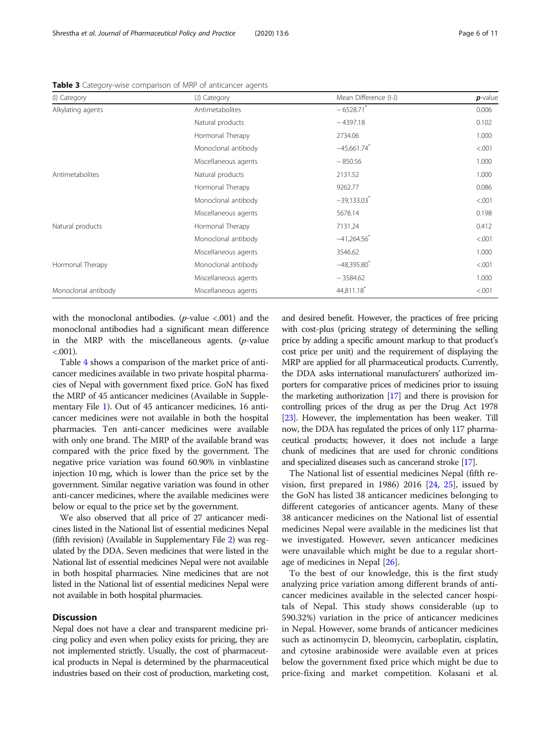| (I) Category        | (J) Category         | Mean Difference (I-J)     | $p$ -value |
|---------------------|----------------------|---------------------------|------------|
| Alkylating agents   | Antimetabolites      | $-6528.71$                | 0.006      |
|                     | Natural products     | $-4397.18$                | 0.102      |
|                     | Hormonal Therapy     | 2734.06                   | 1.000      |
|                     | Monoclonal antibody  | $-45,661.74$              | < .001     |
|                     | Miscellaneous agents | $-850.56$                 | 1.000      |
| Antimetabolites     | Natural products     | 2131.52                   | 1.000      |
|                     | Hormonal Therapy     | 9262.77                   | 0.086      |
|                     | Monoclonal antibody  | $-39,133.03$ <sup>*</sup> | < 0.001    |
|                     | Miscellaneous agents | 5678.14                   | 0.198      |
| Natural products    | Hormonal Therapy     | 7131.24                   | 0.412      |
|                     | Monoclonal antibody  | $-41,264.56$              | < 0.001    |
|                     | Miscellaneous agents | 3546.62                   | 1.000      |
| Hormonal Therapy    | Monoclonal antibody  | $-48,395.80$              | < 0.001    |
|                     | Miscellaneous agents | $-3584.62$                | 1.000      |
| Monoclonal antibody | Miscellaneous agents | 44,811.18                 | < 0.001    |

<span id="page-5-0"></span>Table 3 Category-wise comparison of MRP of anticancer agents

with the monoclonal antibodies.  $(p$ -value <.001) and the monoclonal antibodies had a significant mean difference in the MRP with the miscellaneous agents.  $(p$ -value  $< 0.001$ ).

Table [4](#page-6-0) shows a comparison of the market price of anticancer medicines available in two private hospital pharmacies of Nepal with government fixed price. GoN has fixed the MRP of 45 anticancer medicines (Available in Supplementary File [1\)](#page-8-0). Out of 45 anticancer medicines, 16 anticancer medicines were not available in both the hospital pharmacies. Ten anti-cancer medicines were available with only one brand. The MRP of the available brand was compared with the price fixed by the government. The negative price variation was found 60.90% in vinblastine injection 10 mg, which is lower than the price set by the government. Similar negative variation was found in other anti-cancer medicines, where the available medicines were below or equal to the price set by the government.

We also observed that all price of 27 anticancer medicines listed in the National list of essential medicines Nepal (fifth revision) (Available in Supplementary File [2](#page-8-0)) was regulated by the DDA. Seven medicines that were listed in the National list of essential medicines Nepal were not available in both hospital pharmacies. Nine medicines that are not listed in the National list of essential medicines Nepal were not available in both hospital pharmacies.

#### **Discussion**

Nepal does not have a clear and transparent medicine pricing policy and even when policy exists for pricing, they are not implemented strictly. Usually, the cost of pharmaceutical products in Nepal is determined by the pharmaceutical industries based on their cost of production, marketing cost, and desired benefit. However, the practices of free pricing with cost-plus (pricing strategy of determining the selling price by adding a specific amount markup to that product's cost price per unit) and the requirement of displaying the MRP are applied for all pharmaceutical products. Currently, the DDA asks international manufacturers' authorized importers for comparative prices of medicines prior to issuing the marketing authorization [\[17\]](#page-9-0) and there is provision for controlling prices of the drug as per the Drug Act 1978 [[23](#page-9-0)]. However, the implementation has been weaker. Till now, the DDA has regulated the prices of only 117 pharmaceutical products; however, it does not include a large chunk of medicines that are used for chronic conditions and specialized diseases such as cancerand stroke [[17\]](#page-9-0).

The National list of essential medicines Nepal (fifth revision, first prepared in 1986) 2016 [\[24](#page-9-0), [25\]](#page-9-0), issued by the GoN has listed 38 anticancer medicines belonging to different categories of anticancer agents. Many of these 38 anticancer medicines on the National list of essential medicines Nepal were available in the medicines list that we investigated. However, seven anticancer medicines were unavailable which might be due to a regular shortage of medicines in Nepal [[26\]](#page-9-0).

To the best of our knowledge, this is the first study analyzing price variation among different brands of anticancer medicines available in the selected cancer hospitals of Nepal. This study shows considerable (up to 590.32%) variation in the price of anticancer medicines in Nepal. However, some brands of anticancer medicines such as actinomycin D, bleomycin, carboplatin, cisplatin, and cytosine arabinoside were available even at prices below the government fixed price which might be due to price-fixing and market competition. Kolasani et al.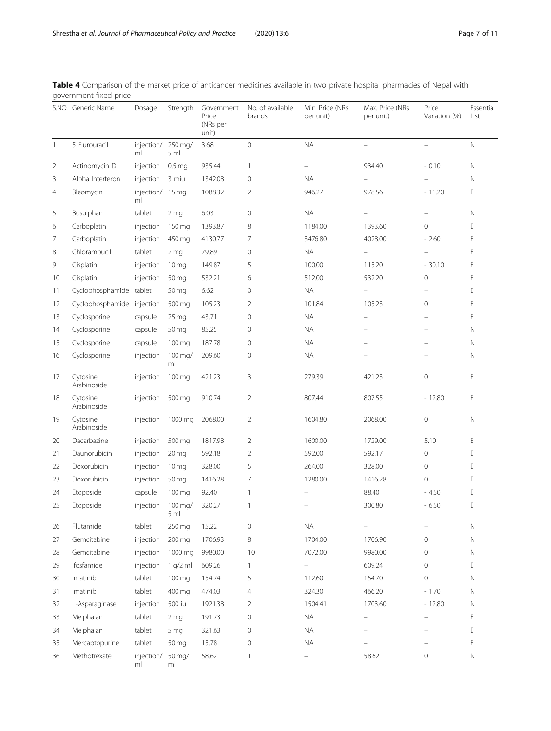|                | S.NO Generic Name          | Dosage                   | Strength                    | Government<br>Price<br>(NRs per<br>unit) | No. of available<br>brands | Min. Price (NRs<br>per unit) | Max. Price (NRs<br>per unit) | Price<br>Variation (%) | Essential<br>List |
|----------------|----------------------------|--------------------------|-----------------------------|------------------------------------------|----------------------------|------------------------------|------------------------------|------------------------|-------------------|
| $\mathbf{1}$   | 5 Flurouracil              | injection/ 250 mg/<br>ml | 5 <sub>m</sub>              | 3.68                                     | $\overline{0}$             | <b>NA</b>                    | ÷                            | ÷.                     | $\mathsf{N}$      |
| $\overline{2}$ | Actinomycin D              | injection                | 0.5 <sub>mg</sub>           | 935.44                                   | $\mathbf{1}$               |                              | 934.40                       | $-0.10$                | N                 |
| 3              | Alpha Interferon           | injection                | 3 miu                       | 1342.08                                  | 0                          | <b>NA</b>                    |                              |                        | N                 |
| 4              | Bleomycin                  | injection/ 15 mg<br>ml   |                             | 1088.32                                  | $\overline{2}$             | 946.27                       | 978.56                       | $-11.20$               | Ε                 |
| 5              | Busulphan                  | tablet                   | 2 <sub>mg</sub>             | 6.03                                     | 0                          | <b>NA</b>                    |                              |                        | N                 |
| 6              | Carboplatin                | injection                | 150 mg                      | 1393.87                                  | 8                          | 1184.00                      | 1393.60                      | $\mathbf 0$            | Ε                 |
| 7              | Carboplatin                | injection                | 450 mg                      | 4130.77                                  | 7                          | 3476.80                      | 4028.00                      | $-2.60$                | Ε                 |
| 8              | Chlorambucil               | tablet                   | 2 <sub>mg</sub>             | 79.89                                    | $\mathbf 0$                | <b>NA</b>                    |                              |                        | E                 |
| 9              | Cisplatin                  | injection                | 10 <sub>mg</sub>            | 149.87                                   | 5                          | 100.00                       | 115.20                       | $-30.10$               | Ε                 |
| 10             | Cisplatin                  | injection                | 50 mg                       | 532.21                                   | 6                          | 512.00                       | 532.20                       | $\mathbf{0}$           | Ε                 |
| 11             | Cyclophosphamide tablet    |                          | 50 mg                       | 6.62                                     | $\mathbf 0$                | <b>NA</b>                    |                              |                        | E                 |
| 12             | Cyclophosphamide injection |                          | 500 mg                      | 105.23                                   | $\overline{2}$             | 101.84                       | 105.23                       | $\mathbf 0$            | E                 |
| 13             | Cyclosporine               | capsule                  | 25 <sub>mg</sub>            | 43.71                                    | $\mathbf 0$                | <b>NA</b>                    |                              |                        | Ε                 |
| 14             | Cyclosporine               | capsule                  | 50 mg                       | 85.25                                    | $\mathbf 0$                | <b>NA</b>                    |                              |                        | N                 |
| 15             | Cyclosporine               | capsule                  | 100 mg                      | 187.78                                   | $\mathbf 0$                | <b>NA</b>                    |                              |                        | N                 |
| 16             | Cyclosporine               | injection                | 100 mg/<br>ml               | 209.60                                   | $\mathbf 0$                | <b>NA</b>                    |                              |                        | N                 |
| 17             | Cytosine<br>Arabinoside    | injection                | 100 mg                      | 421.23                                   | 3                          | 279.39                       | 421.23                       | $\mathbf{0}$           | Ε                 |
| 18             | Cytosine<br>Arabinoside    | injection                | 500 mg                      | 910.74                                   | $\overline{2}$             | 807.44                       | 807.55                       | $-12.80$               | E                 |
| 19             | Cytosine<br>Arabinoside    | injection                | 1000 mg                     | 2068.00                                  | $\overline{2}$             | 1604.80                      | 2068.00                      | $\mathbf 0$            | $\mathbb N$       |
| 20             | Dacarbazine                | injection                | 500 mg                      | 1817.98                                  | $\overline{2}$             | 1600.00                      | 1729.00                      | 5.10                   | Ε                 |
| 21             | Daunorubicin               | injection                | $20 \,\mathrm{mg}$          | 592.18                                   | $\overline{2}$             | 592.00                       | 592.17                       | 0                      | Е                 |
| 22             | Doxorubicin                | injection                | 10 <sub>mg</sub>            | 328.00                                   | 5                          | 264.00                       | 328.00                       | $\mathbf{0}$           | Ε                 |
| 23             | Doxorubicin                | injection                | 50 mg                       | 1416.28                                  | 7                          | 1280.00                      | 1416.28                      | $\mathbf{0}$           | E                 |
| 24             | Etoposide                  | capsule                  | 100 mg                      | 92.40                                    | $\mathbf{1}$               |                              | 88.40                        | $-4.50$                | Ε                 |
| 25             | Etoposide                  | injection                | $100 \,\mathrm{mg}$<br>5 ml | 320.27                                   | 1                          |                              | 300.80                       | $-6.50$                | E                 |
| 26             | Flutamide                  | tablet                   | 250 mg                      | 15.22                                    | $\mathbf 0$                | <b>NA</b>                    |                              |                        | N                 |
| 27             | Gemcitabine                | injection                | 200 mg                      | 1706.93                                  | 8                          | 1704.00                      | 1706.90                      | $\mathbf{0}$           | $\mathsf{N}$      |
| 28             | Gemcitabine                | injection                | 1000 mg                     | 9980.00                                  | 10                         | 7072.00                      | 9980.00                      | $\mathbf 0$            | N                 |
| 29             | Ifosfamide                 | injection                | 1 g/2 ml                    | 609.26                                   | 1                          |                              | 609.24                       | $\mathbf 0$            | Ε                 |
| 30             | Imatinib                   | tablet                   | 100 mg                      | 154.74                                   | 5                          | 112.60                       | 154.70                       | $\overline{0}$         | $\mathsf{N}$      |
| 31             | Imatinib                   | tablet                   | 400 mg                      | 474.03                                   | $\overline{4}$             | 324.30                       | 466.20                       | $-1.70$                | N                 |
| 32             | L-Asparaginase             | injection                | 500 iu                      | 1921.38                                  | 2                          | 1504.41                      | 1703.60                      | $-12.80$               | N                 |
| 33             | Melphalan                  | tablet                   | 2 <sub>mg</sub>             | 191.73                                   | $\mathbf 0$                | <b>NA</b>                    |                              |                        | Ε                 |
| 34             | Melphalan                  | tablet                   | 5 mg                        | 321.63                                   | $\mathbf 0$                | $\sf NA$                     |                              |                        | Ε                 |
| 35             | Mercaptopurine             | tablet                   | 50 mg                       | 15.78                                    | $\mathsf{O}\xspace$        | <b>NA</b>                    |                              |                        | Ε                 |
| 36             | Methotrexate               | injection/ 50 mg/<br>ml  | ml                          | 58.62                                    | 1                          |                              | 58.62                        | 0                      | $\mathsf N$       |

<span id="page-6-0"></span>Table 4 Comparison of the market price of anticancer medicines available in two private hospital pharmacies of Nepal with government fixed price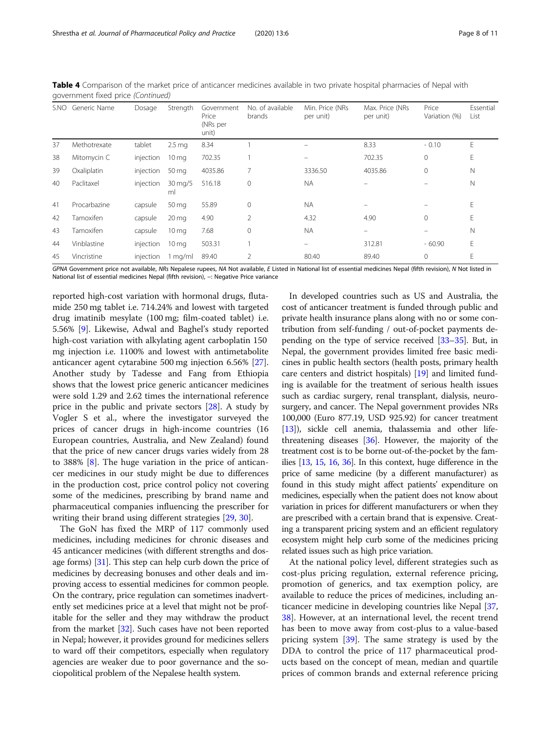|    | S.NO Generic Name | Dosage    | Strength                    | Government<br>Price<br>(NRs per<br>unit) | No. of available<br>brands | Min. Price (NRs)<br>per unit) | Max. Price (NRs<br>per unit) | Price<br>Variation (%) | Essential<br>List |
|----|-------------------|-----------|-----------------------------|------------------------------------------|----------------------------|-------------------------------|------------------------------|------------------------|-------------------|
| 37 | Methotrexate      | tablet    | 2.5 <sub>mg</sub>           | 8.34                                     |                            |                               | 8.33                         | $-0.10$                | E                 |
| 38 | Mitomycin C       | injection | $10 \,\mathrm{mg}$          | 702.35                                   |                            |                               | 702.35                       | $\mathbf{0}$           | Е                 |
| 39 | Oxaliplatin       | injection | 50 mg                       | 4035.86                                  |                            | 3336.50                       | 4035.86                      | $\mathbf{0}$           | N                 |
| 40 | Paclitaxel        | injection | $30 \,\mathrm{mag/s}$<br>ml | 516.18                                   | 0                          | <b>NA</b>                     |                              |                        | Ν                 |
| 41 | Procarbazine      | capsule   | 50 mg                       | 55.89                                    | $\Omega$                   | <b>NA</b>                     |                              |                        | Е                 |
| 42 | Tamoxifen         | capsule   | $20 \,\mathrm{mg}$          | 4.90                                     | $\mathcal{P}$              | 4.32                          | 4.90                         | $\mathbf{0}$           | E                 |
| 43 | Tamoxifen         | capsule   | 10 <sub>mg</sub>            | 7.68                                     | $\Omega$                   | <b>NA</b>                     | -                            |                        | N                 |
| 44 | Vinblastine       | injection | $10 \,\mathrm{mg}$          | 503.31                                   |                            | $\qquad \qquad =$             | 312.81                       | $-60.90$               | Е                 |
| 45 | Vincristine       | injection | $1 \text{ mg/ml}$           | 89.40                                    |                            | 80.40                         | 89.40                        | $\mathbf{0}$           | Ε                 |

Table 4 Comparison of the market price of anticancer medicines available in two private hospital pharmacies of Nepal with government fixed price (Continued)

GPNA Government price not available, NRs Nepalese rupees, NA Not available, E Listed in National list of essential medicines Nepal (fifth revision), N Not listed in National list of essential medicines Nepal (fifth revision), -: Negative Price variance

reported high-cost variation with hormonal drugs, flutamide 250 mg tablet i.e. 714.24% and lowest with targeted drug imatinib mesylate (100 mg; film-coated tablet) i.e. 5.56% [[9\]](#page-9-0). Likewise, Adwal and Baghel's study reported high-cost variation with alkylating agent carboplatin 150 mg injection i.e. 1100% and lowest with antimetabolite anticancer agent cytarabine 500 mg injection 6.56% [\[27](#page-9-0)]. Another study by Tadesse and Fang from Ethiopia shows that the lowest price generic anticancer medicines were sold 1.29 and 2.62 times the international reference price in the public and private sectors [\[28\]](#page-9-0). A study by Vogler S et al., where the investigator surveyed the prices of cancer drugs in high-income countries (16 European countries, Australia, and New Zealand) found that the price of new cancer drugs varies widely from 28 to 388% [[8\]](#page-9-0). The huge variation in the price of anticancer medicines in our study might be due to differences in the production cost, price control policy not covering some of the medicines, prescribing by brand name and pharmaceutical companies influencing the prescriber for writing their brand using different strategies [[29,](#page-9-0) [30](#page-9-0)].

The GoN has fixed the MRP of 117 commonly used medicines, including medicines for chronic diseases and 45 anticancer medicines (with different strengths and dosage forms) [[31](#page-9-0)]. This step can help curb down the price of medicines by decreasing bonuses and other deals and improving access to essential medicines for common people. On the contrary, price regulation can sometimes inadvertently set medicines price at a level that might not be profitable for the seller and they may withdraw the product from the market [\[32\]](#page-9-0). Such cases have not been reported in Nepal; however, it provides ground for medicines sellers to ward off their competitors, especially when regulatory agencies are weaker due to poor governance and the sociopolitical problem of the Nepalese health system.

In developed countries such as US and Australia, the cost of anticancer treatment is funded through public and private health insurance plans along with no or some contribution from self-funding / out-of-pocket payments depending on the type of service received [\[33](#page-9-0)–[35](#page-9-0)]. But, in Nepal, the government provides limited free basic medicines in public health sectors (health posts, primary health care centers and district hospitals) [[19](#page-9-0)] and limited funding is available for the treatment of serious health issues such as cardiac surgery, renal transplant, dialysis, neurosurgery, and cancer. The Nepal government provides NRs 100,000 (Euro 877.19, USD 925.92) for cancer treatment [[13](#page-9-0)]), sickle cell anemia, thalassemia and other lifethreatening diseases [[36](#page-9-0)]. However, the majority of the treatment cost is to be borne out-of-the-pocket by the families  $[13, 15, 16, 36]$  $[13, 15, 16, 36]$  $[13, 15, 16, 36]$  $[13, 15, 16, 36]$  $[13, 15, 16, 36]$  $[13, 15, 16, 36]$  $[13, 15, 16, 36]$ . In this context, huge difference in the price of same medicine (by a different manufacturer) as found in this study might affect patients' expenditure on medicines, especially when the patient does not know about variation in prices for different manufacturers or when they are prescribed with a certain brand that is expensive. Creating a transparent pricing system and an efficient regulatory ecosystem might help curb some of the medicines pricing related issues such as high price variation.

At the national policy level, different strategies such as cost-plus pricing regulation, external reference pricing, promotion of generics, and tax exemption policy, are available to reduce the prices of medicines, including anticancer medicine in developing countries like Nepal [[37](#page-10-0), [38\]](#page-10-0). However, at an international level, the recent trend has been to move away from cost-plus to a value-based pricing system [[39\]](#page-10-0). The same strategy is used by the DDA to control the price of 117 pharmaceutical products based on the concept of mean, median and quartile prices of common brands and external reference pricing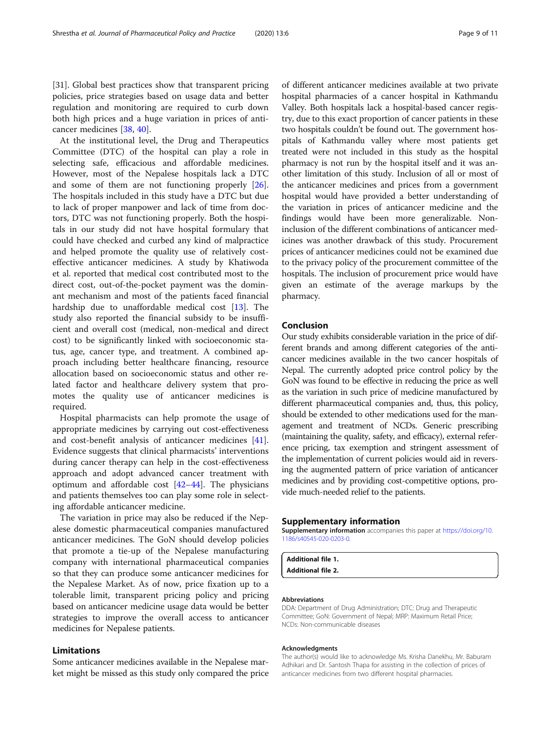<span id="page-8-0"></span>[31]. Global best practices show that transparent pricing policies, price strategies based on usage data and better regulation and monitoring are required to curb down both high prices and a huge variation in prices of anticancer medicines [\[38](#page-10-0), [40](#page-10-0)].

At the institutional level, the Drug and Therapeutics Committee (DTC) of the hospital can play a role in selecting safe, efficacious and affordable medicines. However, most of the Nepalese hospitals lack a DTC and some of them are not functioning properly [\[26](#page-9-0)]. The hospitals included in this study have a DTC but due to lack of proper manpower and lack of time from doctors, DTC was not functioning properly. Both the hospitals in our study did not have hospital formulary that could have checked and curbed any kind of malpractice and helped promote the quality use of relatively costeffective anticancer medicines. A study by Khatiwoda et al. reported that medical cost contributed most to the direct cost, out-of-the-pocket payment was the dominant mechanism and most of the patients faced financial hardship due to unaffordable medical cost [\[13](#page-9-0)]. The study also reported the financial subsidy to be insufficient and overall cost (medical, non-medical and direct cost) to be significantly linked with socioeconomic status, age, cancer type, and treatment. A combined approach including better healthcare financing, resource allocation based on socioeconomic status and other related factor and healthcare delivery system that promotes the quality use of anticancer medicines is required.

Hospital pharmacists can help promote the usage of appropriate medicines by carrying out cost-effectiveness and cost-benefit analysis of anticancer medicines [\[41](#page-10-0)]. Evidence suggests that clinical pharmacists' interventions during cancer therapy can help in the cost-effectiveness approach and adopt advanced cancer treatment with optimum and affordable cost  $[42-44]$  $[42-44]$  $[42-44]$  $[42-44]$ . The physicians and patients themselves too can play some role in selecting affordable anticancer medicine.

The variation in price may also be reduced if the Nepalese domestic pharmaceutical companies manufactured anticancer medicines. The GoN should develop policies that promote a tie-up of the Nepalese manufacturing company with international pharmaceutical companies so that they can produce some anticancer medicines for the Nepalese Market. As of now, price fixation up to a tolerable limit, transparent pricing policy and pricing based on anticancer medicine usage data would be better strategies to improve the overall access to anticancer medicines for Nepalese patients.

## Limitations

Some anticancer medicines available in the Nepalese market might be missed as this study only compared the price

of different anticancer medicines available at two private hospital pharmacies of a cancer hospital in Kathmandu Valley. Both hospitals lack a hospital-based cancer registry, due to this exact proportion of cancer patients in these two hospitals couldn't be found out. The government hospitals of Kathmandu valley where most patients get treated were not included in this study as the hospital pharmacy is not run by the hospital itself and it was another limitation of this study. Inclusion of all or most of the anticancer medicines and prices from a government hospital would have provided a better understanding of the variation in prices of anticancer medicine and the findings would have been more generalizable. Noninclusion of the different combinations of anticancer medicines was another drawback of this study. Procurement prices of anticancer medicines could not be examined due to the privacy policy of the procurement committee of the hospitals. The inclusion of procurement price would have given an estimate of the average markups by the pharmacy.

#### Conclusion

Our study exhibits considerable variation in the price of different brands and among different categories of the anticancer medicines available in the two cancer hospitals of Nepal. The currently adopted price control policy by the GoN was found to be effective in reducing the price as well as the variation in such price of medicine manufactured by different pharmaceutical companies and, thus, this policy, should be extended to other medications used for the management and treatment of NCDs. Generic prescribing (maintaining the quality, safety, and efficacy), external reference pricing, tax exemption and stringent assessment of the implementation of current policies would aid in reversing the augmented pattern of price variation of anticancer medicines and by providing cost-competitive options, provide much-needed relief to the patients.

#### Supplementary information

Supplementary information accompanies this paper at [https://doi.org/10.](https://doi.org/10.1186/s40545-020-0203-0) [1186/s40545-020-0203-0.](https://doi.org/10.1186/s40545-020-0203-0)

Additional file 1. Additional file 2.

#### Abbreviations

DDA: Department of Drug Administration; DTC: Drug and Therapeutic Committee; GoN: Government of Nepal; MRP: Maximum Retail Price; NCDs: Non-communicable diseases

#### Acknowledgments

The author(s) would like to acknowledge Ms. Krisha Danekhu, Mr. Baburam Adhikari and Dr. Santosh Thapa for assisting in the collection of prices of anticancer medicines from two different hospital pharmacies.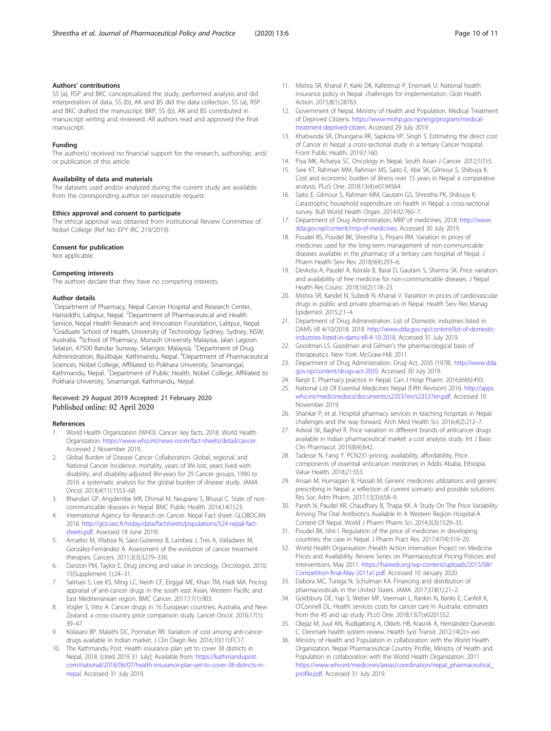#### <span id="page-9-0"></span>Authors' contributions

SS (a), RSP and BKC conceptualized the study, performed analysis and did interpretation of data. SS (b), AK and BS did the data collection. SS (a), RSP and BKC drafted the manuscript. BKP, SS (b), AK and BS contributed in manuscript writing and reviewed. All authors read and approved the final manuscript.

#### Funding

The author(s) received no financial support for the research, authorship, and/ or publication of this article.

#### Availability of data and materials

The datasets used and/or analyzed during the current study are available from the corresponding author on reasonable request.

#### Ethics approval and consent to participate

The ethical approval was obtained from Institutional Review Committee of Nobel College (Ref No: EPY IRC 219/2019).

#### Consent for publication

Not applicable.

#### Competing interests

The authors declare that they have no competing interests.

#### Author details

<sup>1</sup>Department of Pharmacy, Nepal Cancer Hospital and Research Center, Harisiddhi, Lalitpur, Nepal. <sup>2</sup>Department of Pharmaceutical and Health Service, Nepal Health Research and Innovation Foundation, Lalitpur, Nepal. <sup>3</sup>Graduate School of Health, University of Technology Sydney, Sydney, NSW, Australia. <sup>4</sup>School of Pharmacy, Monash University Malaysia, Jalan Lagoon Selatan, 47500 Bandar Sunway, Selangor, Malaysia. <sup>5</sup>Department of Drug Administration, Bijulibajar, Kathmandu, Nepal. <sup>6</sup>Department of Pharmaceutical Sciences, Nobel College, Affiliated to Pokhara University, Sinamangal, Kathmandu, Nepal. <sup>7</sup>Department of Public Health, Nobel College, Affiliated to Pokhara University, Sinamangal, Kathmandu, Nepal.

#### Received: 29 August 2019 Accepted: 21 February 2020 Published online: 02 April 2020

#### References

- 1. World Health Organization (WHO). Cancer: key facts. 2018. World Health Organization. [https://www.who.int/news-room/fact-sheets/detail/cancer.](https://www.who.int/news-room/fact-sheets/detail/cancer) Accessed 2 November 2019..
- 2. Global Burden of Disease Cancer Collaboration. Global, regional, and National Cancer Incidence, mortality, years of life lost, years lived with disability, and disability-adjusted life-years for 29 Cancer groups, 1990 to 2016: a systematic analysis for the global burden of disease study. JAMA Oncol. 2018;4(11):1553–68.
- 3. Bhandari GP, Angdembe MR, Dhimal M, Neupane S, Bhusal C. State of noncommunicable diseases in Nepal. BMC Public Health. 2014;14(1):23.
- 4. International Agency for Research on Cancer. Nepal Fact sheet: GLOBOCAN 2018. [http://gco.iarc.fr/today/data/factsheets/populations/524-nepal-fact](http://gco.iarc.fr/today/data/factsheets/populations/524-nepal-fact-sheets.pdf)[sheets.pdf](http://gco.iarc.fr/today/data/factsheets/populations/524-nepal-fact-sheets.pdf). Assessed 18 June 2019).
- 5. Arruebo M, Vilaboa N, Sáez-Gutierrez B, Lambea J, Tres A, Valladares M, González-Fernández Á. Assessment of the evolution of cancer treatment therapies. Cancers. 2011;3(3):3279–330.
- 6. Danzon PM, Taylor E. Drug pricing and value in oncology. Oncologist. 2010; 15(Supplement 1):24–31.
- 7. Salmasi S, Lee KS, Ming LC, Neoh CF, Elrggal ME, Khan TM, Hadi MA. Pricing appraisal of anti-cancer drugs in the south east Asian, Western Pacific and East Mediterranean region. BMC Cancer. 2017;17(1):903.
- 8. Vogler S, Vitry A. Cancer drugs in 16 European countries, Australia, and New Zealand: a cross-country price comparison study. Lancet Oncol. 2016;17(1): 39–47.
- 9. Kolasani BP, Malathi DC, Ponnaluri RR. Variation of cost among anti-cancer drugs available in Indian market. J Clin Diagn Res. 2016;10(11):FC17.
- 10. The Kathmandu Post. Health insurance plan yet to cover 38 districts in Nepal, 2018. [cited 2019 31 July]; Available from: [https://kathmandupost.](https://kathmandupost.com/national/2018/06/07/health-insurance-plan-yet-to-cover-38-districts-in-nepal) [com/national/2018/06/07/health-insurance-plan-yet-to-cover-38-districts-in](https://kathmandupost.com/national/2018/06/07/health-insurance-plan-yet-to-cover-38-districts-in-nepal)[nepal](https://kathmandupost.com/national/2018/06/07/health-insurance-plan-yet-to-cover-38-districts-in-nepal). Accessed 31 July 2019.
- 11. Mishra SR, Khanal P, Karki DK, Kallestrup P, Enemark U. National health insurance policy in Nepal: challenges for implementation. Glob Health Action. 2015;8(1):28763.
- 12. Government of Nepal, Ministry of Health and Population. Medical Treatment of Deprived Citizens. [https://www.mohp.gov.np/eng/program/medical](https://www.mohp.gov.np/eng/program/medical-treatment-deprived-citizen)[treatment-deprived-citizen](https://www.mohp.gov.np/eng/program/medical-treatment-deprived-citizen). Accessed 29 July 2019.
- 13. Khatiwoda SR, Dhungana RR, Sapkota VP, Singh S. Estimating the direct cost of Cancer in Nepal: a cross-sectional study in a tertiary Cancer hospital. Front Public Health. 2019;7:160.
- 14. Piya MK, Acharya SC. Oncology in Nepal. South Asian J Cancer. 2012;1(1):5.
- 15. Swe KT, Rahman MM, Rahman MS, Saito E, Abe SK, Gilmour S, Shibuya K. Cost and economic burden of illness over 15 years in Nepal: a comparative analysis. PLoS One. 2018;13(4):e0194564.
- 16. Saito E, Gilmour S, Rahman MM, Gautam GS, Shrestha PK, Shibuya K. Catastrophic household expenditure on health in Nepal: a cross-sectional survey. Bull World Health Organ. 2014;92:760–7.
- 17. Department of Drug Administration, MRP of medicines, 2018. [http://www.](http://www.dda.gov.np/content/mrp-of-medicines) [dda.gov.np/content/mrp-of-medicines.](http://www.dda.gov.np/content/mrp-of-medicines) Accessed 30 July 2019.
- 18. Poudel RS, Poudel BK, Shrestha S, Piryani RM. Variation in prices of medicines used for the long-term management of non-communicable diseases available in the pharmacy of a tertiary care hospital of Nepal. J Pharm Health Serv Res. 2018;9(4):293–6.
- 19. Devkota A, Paudel A, Koirala B, Baral D, Gautam S, Sharma SK. Price variation and availability of free medicine for non-communicable diseases. J Nepal Health Res Counc. 2018;16(2):118–23.
- 20. Mishra SR, Kandel N, Subedi N, Khanal V. Variation in prices of cardiovascular drugs in public and private pharmacies in Nepal. Health Serv Res Manag Epidemiol. 2015;2:1–4.
- 21. Department of Drug Administration. List of Domestic industries listed in DAMS till 4/10/2018, 2018. [http://www.dda.gov.np/content/list-of-domestic](http://www.dda.gov.np/content/list-of-domestic-industries-listed-in-dams-till-4-10-2018)[industries-listed-in-dams-till-4-10-2018.](http://www.dda.gov.np/content/list-of-domestic-industries-listed-in-dams-till-4-10-2018) Accessed 31 July 2019.
- 22. Goodman LS. Goodman and Gilman's the pharmacological basis of therapeutics. New York: McGraw-Hill; 2011.
- 23. Department of Drug Administration. Drug Act, 2035 (1978). [http://www.dda.](http://www.dda.gov.np/content/drugs-act-2035) [gov.np/content/drugs-act-2035.](http://www.dda.gov.np/content/drugs-act-2035) Accessed 30 July 2019.
- 24. Ranjit E. Pharmacy practice in Nepal. Can J Hosp Pharm. 2016;69(6):493.
- 25. National List Of Essential Medicines Nepal (Fifth Revision) 2016. [http://apps.](http://apps.who.int/medicinedocs/documents/s23537en/s23537en.pdf) [who.int/medicinedocs/documents/s23537en/s23537en.pdf](http://apps.who.int/medicinedocs/documents/s23537en/s23537en.pdf). Accessed 10 November 2019.
- 26. Shankar P, et al. Hospital pharmacy services in teaching hospitals in Nepal: challenges and the way forward. Arch Med Health Sci. 2016;4(2):212–7.
- 27. Adwal SK, Baghel R. Price variation in different brands of anticancer drugs available in Indian pharmaceutical market: a cost analysis study. Int J Basic Clin Pharmacol. 2019;8(4):642..
- 28. Tadesse N, Fang Y. PCN231-pricing, availability, affordability, Price components of essential anticancer medicines in Addis Ababa, Ethiopia. Value Health. 2018;21:S53.
- 29. Ansari M, Humagain B, Hassali M. Generic medicines utilizations and generic prescribing in Nepal: a reflection of current scenario and possible solutions. Res Soc Adm Pharm. 2017;13(3):658–9.
- 30. Panth N, Paudel KR, Chaudhary B, Thapa KK. A Study On The Price Variability Among The Oral Antibiotics Available In A Western Region Hospital-A Context Of Nepal. World J Pharm Pharm Sci. 2014;3(3):1529–35.
- 31. Poudel BK, Ishii I. Regulation of the price of medicines in developing countries: the case in Nepal. J Pharm Pract Res. 2017;47(4):319–20.
- 32. World Health Organisation /Health Action Internation Project on Medicine Prices and Availability. Review Series on Pharmaceutical Pricing Policies and Interventions. May 2011. [https://haiweb.org/wp-content/uploads/2015/08/](https://haiweb.org/wp-content/uploads/2015/08/Competition-final-May-2011a1.pdf) [Competition-final-May-2011a1.pdf](https://haiweb.org/wp-content/uploads/2015/08/Competition-final-May-2011a1.pdf). Accessed 10 January 2020.
- 33. Dabora MC, Turaga N, Schulman KA. Financing and distribution of pharmaceuticals in the United States. JAMA. 2017;318(1):21–2.
- 34. Goldsbury DE, Yap S, Weber MF, Veerman L, Rankin N, Banks E, Canfell K, O'Connell DL. Health services costs for cancer care in Australia: estimates from the 45 and up study. PLoS One. 2018;13(7):e0201552.
- 35. Olejaz M, Juul AN, Rudkjøbing A, Okkels HB, Krasnik A, Hernández-Quevedo C. Denmark health system review. Health Syst Transit. 2012;14(2):i–xxii.
- 36. Ministry of Health and Population in collaboration with the World Health Organization. Nepal Pharmaceutical Country Profile, Ministry of Health and Population in collaboration with the World Health Organization. 2011 [https://www.who.int/medicines/areas/coordination/nepal\\_pharmaceutical\\_](https://www.who.int/medicines/areas/coordination/nepal_pharmaceutical_profile.pdf) [profile.pdf](https://www.who.int/medicines/areas/coordination/nepal_pharmaceutical_profile.pdf). Accessed 31 July 2019.